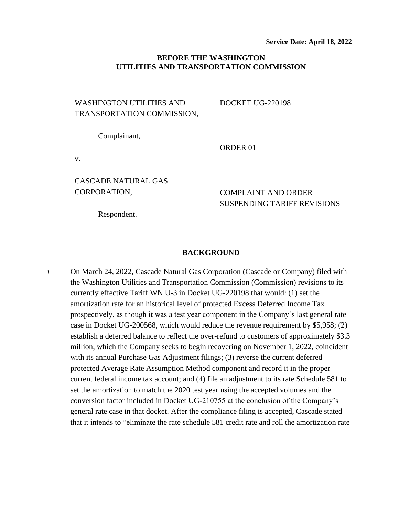# **BEFORE THE WASHINGTON UTILITIES AND TRANSPORTATION COMMISSION**

WASHINGTON UTILITIES AND TRANSPORTATION COMMISSION,

Complainant,

v.

CASCADE NATURAL GAS CORPORATION,

Respondent.

DOCKET UG-220198

ORDER 01

COMPLAINT AND ORDER SUSPENDING TARIFF REVISIONS

## **BACKGROUND**

*1* On March 24, 2022, Cascade Natural Gas Corporation (Cascade or Company) filed with the Washington Utilities and Transportation Commission (Commission) revisions to its currently effective Tariff WN U-3 in Docket UG-220198 that would: (1) set the amortization rate for an historical level of protected Excess Deferred Income Tax prospectively, as though it was a test year component in the Company's last general rate case in Docket UG-200568, which would reduce the revenue requirement by \$5,958; (2) establish a deferred balance to reflect the over-refund to customers of approximately \$3.3 million, which the Company seeks to begin recovering on November 1, 2022, coincident with its annual Purchase Gas Adjustment filings; (3) reverse the current deferred protected Average Rate Assumption Method component and record it in the proper current federal income tax account; and (4) file an adjustment to its rate Schedule 581 to set the amortization to match the 2020 test year using the accepted volumes and the conversion factor included in Docket UG-210755 at the conclusion of the Company's general rate case in that docket. After the compliance filing is accepted, Cascade stated that it intends to "eliminate the rate schedule 581 credit rate and roll the amortization rate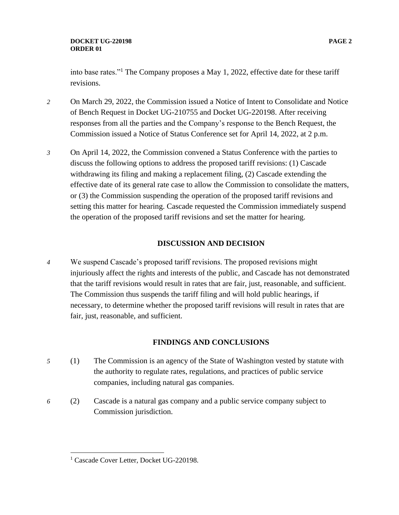### **DOCKET UG-220198 PAGE 2 ORDER 01**

into base rates."<sup>1</sup> The Company proposes a May 1, 2022, effective date for these tariff revisions.

- *2* On March 29, 2022, the Commission issued a Notice of Intent to Consolidate and Notice of Bench Request in Docket UG-210755 and Docket UG-220198. After receiving responses from all the parties and the Company's response to the Bench Request, the Commission issued a Notice of Status Conference set for April 14, 2022, at 2 p.m.
- *3* On April 14, 2022, the Commission convened a Status Conference with the parties to discuss the following options to address the proposed tariff revisions: (1) Cascade withdrawing its filing and making a replacement filing, (2) Cascade extending the effective date of its general rate case to allow the Commission to consolidate the matters, or (3) the Commission suspending the operation of the proposed tariff revisions and setting this matter for hearing. Cascade requested the Commission immediately suspend the operation of the proposed tariff revisions and set the matter for hearing.

# **DISCUSSION AND DECISION**

*4* We suspend Cascade's proposed tariff revisions. The proposed revisions might injuriously affect the rights and interests of the public, and Cascade has not demonstrated that the tariff revisions would result in rates that are fair, just, reasonable, and sufficient. The Commission thus suspends the tariff filing and will hold public hearings, if necessary, to determine whether the proposed tariff revisions will result in rates that are fair, just, reasonable, and sufficient.

# **FINDINGS AND CONCLUSIONS**

- *5* (1) The Commission is an agency of the State of Washington vested by statute with the authority to regulate rates, regulations, and practices of public service companies, including natural gas companies.
- *6* (2) Cascade is a natural gas company and a public service company subject to Commission jurisdiction.

<sup>&</sup>lt;sup>1</sup> Cascade Cover Letter, Docket UG-220198.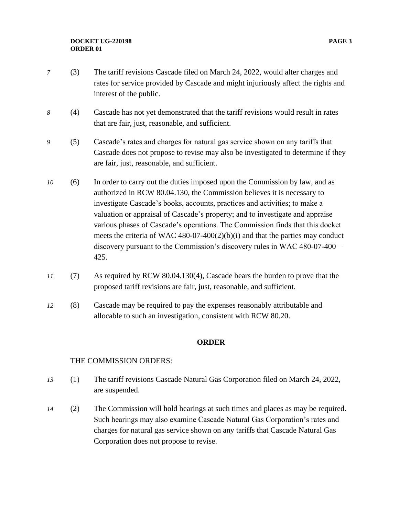### **DOCKET UG-220198 PAGE 3 ORDER 01**

- *7* (3) The tariff revisions Cascade filed on March 24, 2022, would alter charges and rates for service provided by Cascade and might injuriously affect the rights and interest of the public.
- *8* (4) Cascade has not yet demonstrated that the tariff revisions would result in rates that are fair, just, reasonable, and sufficient.
- *9* (5) Cascade's rates and charges for natural gas service shown on any tariffs that Cascade does not propose to revise may also be investigated to determine if they are fair, just, reasonable, and sufficient.
- *10* (6) In order to carry out the duties imposed upon the Commission by law, and as authorized in RCW 80.04.130, the Commission believes it is necessary to investigate Cascade's books, accounts, practices and activities; to make a valuation or appraisal of Cascade's property; and to investigate and appraise various phases of Cascade's operations. The Commission finds that this docket meets the criteria of WAC 480-07-400(2)(b)(i) and that the parties may conduct discovery pursuant to the Commission's discovery rules in WAC 480-07-400 – 425.
- *11* (7) As required by RCW 80.04.130(4), Cascade bears the burden to prove that the proposed tariff revisions are fair, just, reasonable, and sufficient.
- *12* (8) Cascade may be required to pay the expenses reasonably attributable and allocable to such an investigation, consistent with RCW 80.20.

## **ORDER**

# THE COMMISSION ORDERS:

- *13* (1) The tariff revisions Cascade Natural Gas Corporation filed on March 24, 2022, are suspended.
- *14* (2) The Commission will hold hearings at such times and places as may be required. Such hearings may also examine Cascade Natural Gas Corporation's rates and charges for natural gas service shown on any tariffs that Cascade Natural Gas Corporation does not propose to revise.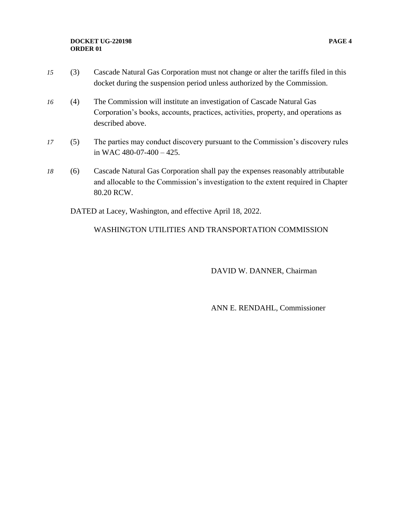### **DOCKET UG-220198 PAGE 4 ORDER 01**

- *15* (3) Cascade Natural Gas Corporation must not change or alter the tariffs filed in this docket during the suspension period unless authorized by the Commission.
- *16* (4) The Commission will institute an investigation of Cascade Natural Gas Corporation's books, accounts, practices, activities, property, and operations as described above.
- *17* (5) The parties may conduct discovery pursuant to the Commission's discovery rules in WAC 480-07-400 – 425.
- *18* (6) Cascade Natural Gas Corporation shall pay the expenses reasonably attributable and allocable to the Commission's investigation to the extent required in Chapter 80.20 RCW.

DATED at Lacey, Washington, and effective April 18, 2022.

# WASHINGTON UTILITIES AND TRANSPORTATION COMMISSION

DAVID W. DANNER, Chairman

ANN E. RENDAHL, Commissioner